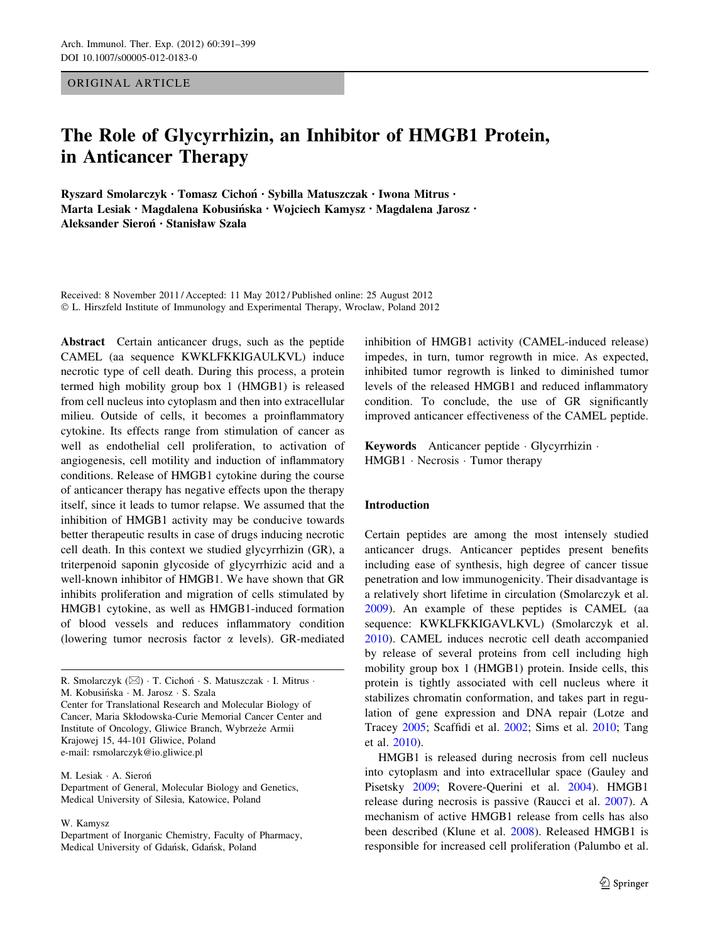ORIGINAL ARTICLE

# The Role of Glycyrrhizin, an Inhibitor of HMGB1 Protein, in Anticancer Therapy

Ryszard Smolarczyk • Tomasz Cichon´ • Sybilla Matuszczak • Iwona Mitrus • Marta Lesiak • Magdalena Kobusińska • Wojciech Kamysz • Magdalena Jarosz • Aleksander Sieron´ • Stanisław Szala

Received: 8 November 2011 / Accepted: 11 May 2012 / Published online: 25 August 2012 - L. Hirszfeld Institute of Immunology and Experimental Therapy, Wroclaw, Poland 2012

Abstract Certain anticancer drugs, such as the peptide CAMEL (aa sequence KWKLFKKIGAULKVL) induce necrotic type of cell death. During this process, a protein termed high mobility group box 1 (HMGB1) is released from cell nucleus into cytoplasm and then into extracellular milieu. Outside of cells, it becomes a proinflammatory cytokine. Its effects range from stimulation of cancer as well as endothelial cell proliferation, to activation of angiogenesis, cell motility and induction of inflammatory conditions. Release of HMGB1 cytokine during the course of anticancer therapy has negative effects upon the therapy itself, since it leads to tumor relapse. We assumed that the inhibition of HMGB1 activity may be conducive towards better therapeutic results in case of drugs inducing necrotic cell death. In this context we studied glycyrrhizin (GR), a triterpenoid saponin glycoside of glycyrrhizic acid and a well-known inhibitor of HMGB1. We have shown that GR inhibits proliferation and migration of cells stimulated by HMGB1 cytokine, as well as HMGB1-induced formation of blood vessels and reduces inflammatory condition (lowering tumor necrosis factor  $\alpha$  levels). GR-mediated

Center for Translational Research and Molecular Biology of Cancer, Maria Skłodowska-Curie Memorial Cancer Center and Institute of Oncology, Gliwice Branch, Wybrzeze Armii \_ Krajowej 15, 44-101 Gliwice, Poland e-mail: rsmolarczyk@io.gliwice.pl

M. Lesiak · A. Sieroń

Department of General, Molecular Biology and Genetics, Medical University of Silesia, Katowice, Poland

W. Kamysz

Department of Inorganic Chemistry, Faculty of Pharmacy, Medical University of Gdańsk, Gdańsk, Poland

inhibition of HMGB1 activity (CAMEL-induced release) impedes, in turn, tumor regrowth in mice. As expected, inhibited tumor regrowth is linked to diminished tumor levels of the released HMGB1 and reduced inflammatory condition. To conclude, the use of GR significantly improved anticancer effectiveness of the CAMEL peptide.

Keywords Anticancer peptide - Glycyrrhizin - HMGB1 - Necrosis - Tumor therapy

### Introduction

Certain peptides are among the most intensely studied anticancer drugs. Anticancer peptides present benefits including ease of synthesis, high degree of cancer tissue penetration and low immunogenicity. Their disadvantage is a relatively short lifetime in circulation (Smolarczyk et al. [2009](#page-8-0)). An example of these peptides is CAMEL (aa sequence: KWKLFKKIGAVLKVL) (Smolarczyk et al. [2010](#page-8-0)). CAMEL induces necrotic cell death accompanied by release of several proteins from cell including high mobility group box 1 (HMGB1) protein. Inside cells, this protein is tightly associated with cell nucleus where it stabilizes chromatin conformation, and takes part in regulation of gene expression and DNA repair (Lotze and Tracey [2005;](#page-8-0) Scaffidi et al. [2002;](#page-8-0) Sims et al. [2010](#page-8-0); Tang et al. [2010\)](#page-8-0).

HMGB1 is released during necrosis from cell nucleus into cytoplasm and into extracellular space (Gauley and Pisetsky [2009](#page-8-0); Rovere-Querini et al. [2004\)](#page-8-0). HMGB1 release during necrosis is passive (Raucci et al. [2007](#page-8-0)). A mechanism of active HMGB1 release from cells has also been described (Klune et al. [2008\)](#page-8-0). Released HMGB1 is responsible for increased cell proliferation (Palumbo et al.

R. Smolarczyk (⊠) · T. Cichoń · S. Matuszczak · I. Mitrus · M. Kobusińska · M. Jarosz · S. Szala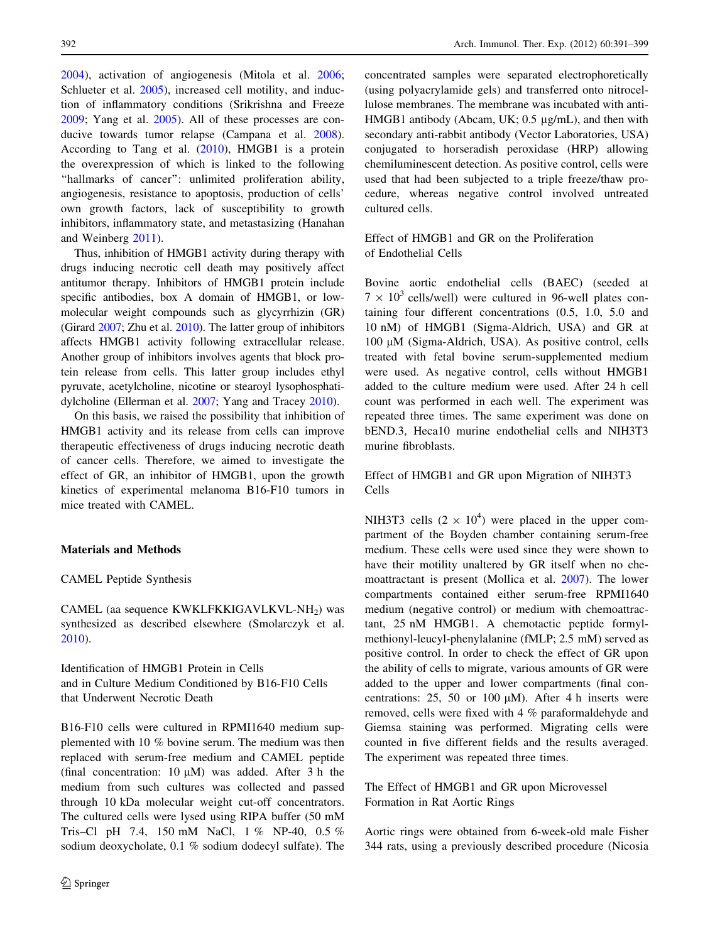[2004\)](#page-8-0), activation of angiogenesis (Mitola et al. [2006](#page-8-0); Schlueter et al. [2005](#page-8-0)), increased cell motility, and induction of inflammatory conditions (Srikrishna and Freeze [2009;](#page-8-0) Yang et al. [2005\)](#page-8-0). All of these processes are conducive towards tumor relapse (Campana et al. [2008](#page-8-0)). According to Tang et al. [\(2010](#page-8-0)), HMGB1 is a protein the overexpression of which is linked to the following "hallmarks of cancer": unlimited proliferation ability, angiogenesis, resistance to apoptosis, production of cells' own growth factors, lack of susceptibility to growth inhibitors, inflammatory state, and metastasizing (Hanahan and Weinberg [2011\)](#page-8-0).

Thus, inhibition of HMGB1 activity during therapy with drugs inducing necrotic cell death may positively affect antitumor therapy. Inhibitors of HMGB1 protein include specific antibodies, box A domain of HMGB1, or lowmolecular weight compounds such as glycyrrhizin (GR) (Girard [2007;](#page-8-0) Zhu et al. [2010\)](#page-8-0). The latter group of inhibitors affects HMGB1 activity following extracellular release. Another group of inhibitors involves agents that block protein release from cells. This latter group includes ethyl pyruvate, acetylcholine, nicotine or stearoyl lysophosphatidylcholine (Ellerman et al. [2007;](#page-8-0) Yang and Tracey [2010](#page-8-0)).

On this basis, we raised the possibility that inhibition of HMGB1 activity and its release from cells can improve therapeutic effectiveness of drugs inducing necrotic death of cancer cells. Therefore, we aimed to investigate the effect of GR, an inhibitor of HMGB1, upon the growth kinetics of experimental melanoma B16-F10 tumors in mice treated with CAMEL.

### Materials and Methods

### CAMEL Peptide Synthesis

CAMEL (aa sequence KWKLFKKIGAVLKVL-NH<sub>2</sub>) was synthesized as described elsewhere (Smolarczyk et al. [2010\)](#page-8-0).

Identification of HMGB1 Protein in Cells and in Culture Medium Conditioned by B16-F10 Cells that Underwent Necrotic Death

B16-F10 cells were cultured in RPMI1640 medium supplemented with 10 % bovine serum. The medium was then replaced with serum-free medium and CAMEL peptide (final concentration:  $10 \mu M$ ) was added. After 3 h the medium from such cultures was collected and passed through 10 kDa molecular weight cut-off concentrators. The cultured cells were lysed using RIPA buffer (50 mM Tris–Cl pH 7.4, 150 mM NaCl, 1 % NP-40, 0.5 % sodium deoxycholate, 0.1 % sodium dodecyl sulfate). The concentrated samples were separated electrophoretically (using polyacrylamide gels) and transferred onto nitrocellulose membranes. The membrane was incubated with anti-HMGB1 antibody (Abcam, UK;  $0.5 \mu g/mL$ ), and then with secondary anti-rabbit antibody (Vector Laboratories, USA) conjugated to horseradish peroxidase (HRP) allowing chemiluminescent detection. As positive control, cells were used that had been subjected to a triple freeze/thaw procedure, whereas negative control involved untreated cultured cells.

Effect of HMGB1 and GR on the Proliferation of Endothelial Cells

Bovine aortic endothelial cells (BAEC) (seeded at  $7 \times 10^3$  cells/well) were cultured in 96-well plates containing four different concentrations (0.5, 1.0, 5.0 and 10 nM) of HMGB1 (Sigma-Aldrich, USA) and GR at  $100 \mu M$  (Sigma-Aldrich, USA). As positive control, cells treated with fetal bovine serum-supplemented medium were used. As negative control, cells without HMGB1 added to the culture medium were used. After 24 h cell count was performed in each well. The experiment was repeated three times. The same experiment was done on bEND.3, Heca10 murine endothelial cells and NIH3T3 murine fibroblasts.

Effect of HMGB1 and GR upon Migration of NIH3T3 Cells

NIH3T3 cells  $(2 \times 10^4)$  were placed in the upper compartment of the Boyden chamber containing serum-free medium. These cells were used since they were shown to have their motility unaltered by GR itself when no chemoattractant is present (Mollica et al. [2007\)](#page-8-0). The lower compartments contained either serum-free RPMI1640 medium (negative control) or medium with chemoattractant, 25 nM HMGB1. A chemotactic peptide formylmethionyl-leucyl-phenylalanine (fMLP; 2.5 mM) served as positive control. In order to check the effect of GR upon the ability of cells to migrate, various amounts of GR were added to the upper and lower compartments (final concentrations: 25, 50 or 100  $\mu$ M). After 4 h inserts were removed, cells were fixed with 4 % paraformaldehyde and Giemsa staining was performed. Migrating cells were counted in five different fields and the results averaged. The experiment was repeated three times.

The Effect of HMGB1 and GR upon Microvessel Formation in Rat Aortic Rings

Aortic rings were obtained from 6-week-old male Fisher 344 rats, using a previously described procedure (Nicosia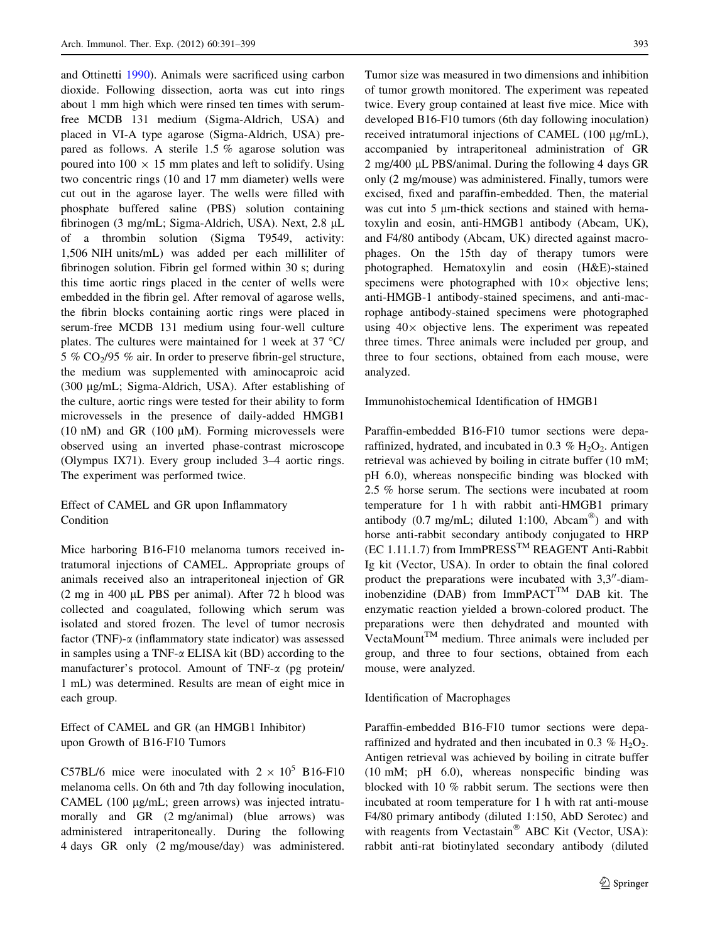and Ottinetti [1990\)](#page-8-0). Animals were sacrificed using carbon dioxide. Following dissection, aorta was cut into rings about 1 mm high which were rinsed ten times with serumfree MCDB 131 medium (Sigma-Aldrich, USA) and placed in VI-A type agarose (Sigma-Aldrich, USA) prepared as follows. A sterile 1.5 % agarose solution was poured into  $100 \times 15$  mm plates and left to solidify. Using two concentric rings (10 and 17 mm diameter) wells were cut out in the agarose layer. The wells were filled with phosphate buffered saline (PBS) solution containing fibrinogen (3 mg/mL; Sigma-Aldrich, USA). Next, 2.8 lL of a thrombin solution (Sigma T9549, activity: 1,506 NIH units/mL) was added per each milliliter of fibrinogen solution. Fibrin gel formed within 30 s; during this time aortic rings placed in the center of wells were embedded in the fibrin gel. After removal of agarose wells, the fibrin blocks containing aortic rings were placed in serum-free MCDB 131 medium using four-well culture plates. The cultures were maintained for 1 week at  $37 \text{ °C}$ / 5 %  $CO<sub>2</sub>/95$  % air. In order to preserve fibrin-gel structure, the medium was supplemented with aminocaproic acid (300 lg/mL; Sigma-Aldrich, USA). After establishing of the culture, aortic rings were tested for their ability to form microvessels in the presence of daily-added HMGB1 (10 nM) and GR (100  $\mu$ M). Forming microvessels were observed using an inverted phase-contrast microscope (Olympus IX71). Every group included 3–4 aortic rings. The experiment was performed twice.

Effect of CAMEL and GR upon Inflammatory Condition

Mice harboring B16-F10 melanoma tumors received intratumoral injections of CAMEL. Appropriate groups of animals received also an intraperitoneal injection of GR (2 mg in 400  $\mu$ L PBS per animal). After 72 h blood was collected and coagulated, following which serum was isolated and stored frozen. The level of tumor necrosis factor (TNF)- $\alpha$  (inflammatory state indicator) was assessed in samples using a TNF-a ELISA kit (BD) according to the manufacturer's protocol. Amount of TNF-a (pg protein/ 1 mL) was determined. Results are mean of eight mice in each group.

Effect of CAMEL and GR (an HMGB1 Inhibitor) upon Growth of B16-F10 Tumors

C57BL/6 mice were inoculated with  $2 \times 10^5$  B16-F10 melanoma cells. On 6th and 7th day following inoculation, CAMEL (100 µg/mL; green arrows) was injected intratumorally and GR (2 mg/animal) (blue arrows) was administered intraperitoneally. During the following 4 days GR only (2 mg/mouse/day) was administered.

Tumor size was measured in two dimensions and inhibition of tumor growth monitored. The experiment was repeated twice. Every group contained at least five mice. Mice with developed B16-F10 tumors (6th day following inoculation) received intratumoral injections of CAMEL (100 µg/mL), accompanied by intraperitoneal administration of GR 2 mg/400 µL PBS/animal. During the following 4 days GR only (2 mg/mouse) was administered. Finally, tumors were excised, fixed and paraffin-embedded. Then, the material was cut into  $5 \mu$ m-thick sections and stained with hematoxylin and eosin, anti-HMGB1 antibody (Abcam, UK), and F4/80 antibody (Abcam, UK) directed against macrophages. On the 15th day of therapy tumors were photographed. Hematoxylin and eosin (H&E)-stained specimens were photographed with  $10\times$  objective lens; anti-HMGB-1 antibody-stained specimens, and anti-macrophage antibody-stained specimens were photographed using  $40\times$  objective lens. The experiment was repeated three times. Three animals were included per group, and three to four sections, obtained from each mouse, were analyzed.

Immunohistochemical Identification of HMGB1

Paraffin-embedded B16-F10 tumor sections were deparaffinized, hydrated, and incubated in 0.3  $\%$  H<sub>2</sub>O<sub>2</sub>. Antigen retrieval was achieved by boiling in citrate buffer (10 mM; pH 6.0), whereas nonspecific binding was blocked with 2.5 % horse serum. The sections were incubated at room temperature for 1 h with rabbit anti-HMGB1 primary antibody  $(0.7 \text{ mg/mL}$ ; diluted 1:100, Abcam<sup>®</sup>) and with horse anti-rabbit secondary antibody conjugated to HRP (EC 1.11.1.7) from ImmPRESSTM REAGENT Anti-Rabbit Ig kit (Vector, USA). In order to obtain the final colored product the preparations were incubated with  $3,3''$ -diaminobenzidine (DAB) from ImmPACT<sup>TM</sup> DAB kit. The enzymatic reaction yielded a brown-colored product. The preparations were then dehydrated and mounted with VectaMount<sup>TM</sup> medium. Three animals were included per group, and three to four sections, obtained from each mouse, were analyzed.

#### Identification of Macrophages

Paraffin-embedded B16-F10 tumor sections were deparaffinized and hydrated and then incubated in 0.3  $\%$  H<sub>2</sub>O<sub>2</sub>. Antigen retrieval was achieved by boiling in citrate buffer (10 mM; pH 6.0), whereas nonspecific binding was blocked with 10 % rabbit serum. The sections were then incubated at room temperature for 1 h with rat anti-mouse F4/80 primary antibody (diluted 1:150, AbD Serotec) and with reagents from Vectastain<sup>®</sup> ABC Kit (Vector, USA): rabbit anti-rat biotinylated secondary antibody (diluted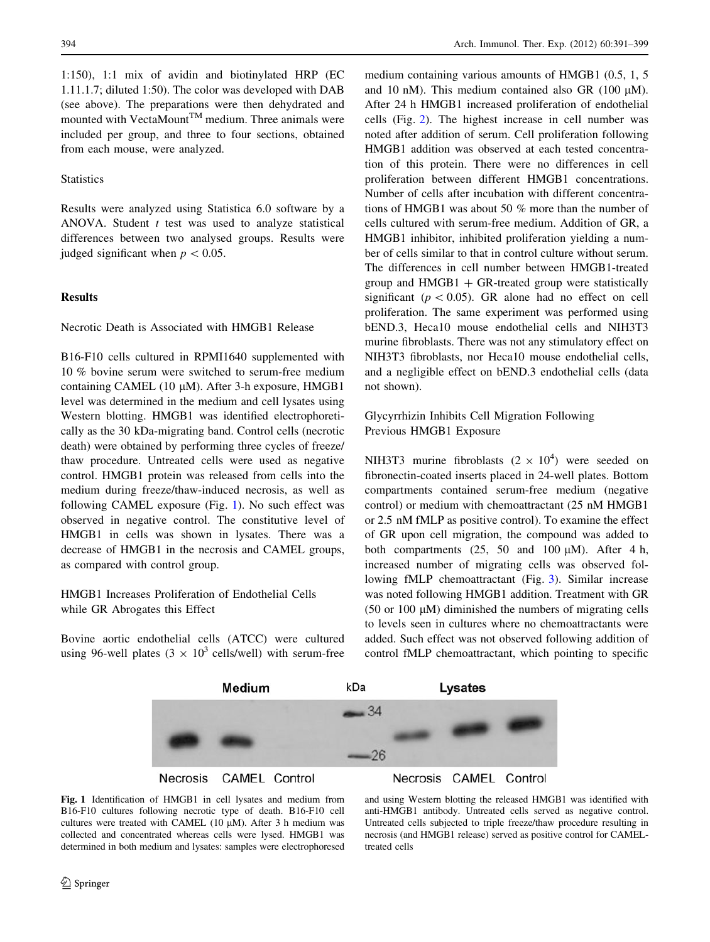1:150), 1:1 mix of avidin and biotinylated HRP (EC 1.11.1.7; diluted 1:50). The color was developed with DAB (see above). The preparations were then dehydrated and mounted with VectaMount<sup>TM</sup> medium. Three animals were included per group, and three to four sections, obtained from each mouse, were analyzed.

## **Statistics**

Results were analyzed using Statistica 6.0 software by a ANOVA. Student  $t$  test was used to analyze statistical differences between two analysed groups. Results were judged significant when  $p < 0.05$ .

### **Results**

Necrotic Death is Associated with HMGB1 Release

B16-F10 cells cultured in RPMI1640 supplemented with 10 % bovine serum were switched to serum-free medium containing CAMEL (10  $\mu$ M). After 3-h exposure, HMGB1 level was determined in the medium and cell lysates using Western blotting. HMGB1 was identified electrophoretically as the 30 kDa-migrating band. Control cells (necrotic death) were obtained by performing three cycles of freeze/ thaw procedure. Untreated cells were used as negative control. HMGB1 protein was released from cells into the medium during freeze/thaw-induced necrosis, as well as following CAMEL exposure (Fig. 1). No such effect was observed in negative control. The constitutive level of HMGB1 in cells was shown in lysates. There was a decrease of HMGB1 in the necrosis and CAMEL groups, as compared with control group.

HMGB1 Increases Proliferation of Endothelial Cells while GR Abrogates this Effect

Bovine aortic endothelial cells (ATCC) were cultured using 96-well plates  $(3 \times 10^3 \text{ cells/well})$  with serum-free

medium containing various amounts of HMGB1 (0.5, 1, 5 and 10 nM). This medium contained also GR (100  $\mu$ M). After 24 h HMGB1 increased proliferation of endothelial cells (Fig. [2](#page-4-0)). The highest increase in cell number was noted after addition of serum. Cell proliferation following HMGB1 addition was observed at each tested concentration of this protein. There were no differences in cell proliferation between different HMGB1 concentrations. Number of cells after incubation with different concentrations of HMGB1 was about 50 % more than the number of cells cultured with serum-free medium. Addition of GR, a HMGB1 inhibitor, inhibited proliferation yielding a number of cells similar to that in control culture without serum. The differences in cell number between HMGB1-treated group and  $HMGB1 + GR$ -treated group were statistically significant ( $p < 0.05$ ). GR alone had no effect on cell proliferation. The same experiment was performed using bEND.3, Heca10 mouse endothelial cells and NIH3T3 murine fibroblasts. There was not any stimulatory effect on NIH3T3 fibroblasts, nor Heca10 mouse endothelial cells, and a negligible effect on bEND.3 endothelial cells (data not shown).

Glycyrrhizin Inhibits Cell Migration Following Previous HMGB1 Exposure

NIH3T3 murine fibroblasts  $(2 \times 10^4)$  were seeded on fibronectin-coated inserts placed in 24-well plates. Bottom compartments contained serum-free medium (negative control) or medium with chemoattractant (25 nM HMGB1 or 2.5 nM fMLP as positive control). To examine the effect of GR upon cell migration, the compound was added to both compartments  $(25, 50 \text{ and } 100 \mu\text{M})$ . After 4 h, increased number of migrating cells was observed following fMLP chemoattractant (Fig. [3](#page-4-0)). Similar increase was noted following HMGB1 addition. Treatment with GR (50 or 100  $\mu$ M) diminished the numbers of migrating cells to levels seen in cultures where no chemoattractants were added. Such effect was not observed following addition of control fMLP chemoattractant, which pointing to specific



**Necrosis CAMEL Control** 

Necrosis CAMEL Control

Fig. 1 Identification of HMGB1 in cell lysates and medium from B16-F10 cultures following necrotic type of death. B16-F10 cell cultures were treated with CAMEL (10  $\mu$ M). After 3 h medium was collected and concentrated whereas cells were lysed. HMGB1 was determined in both medium and lysates: samples were electrophoresed

and using Western blotting the released HMGB1 was identified with anti-HMGB1 antibody. Untreated cells served as negative control. Untreated cells subjected to triple freeze/thaw procedure resulting in necrosis (and HMGB1 release) served as positive control for CAMELtreated cells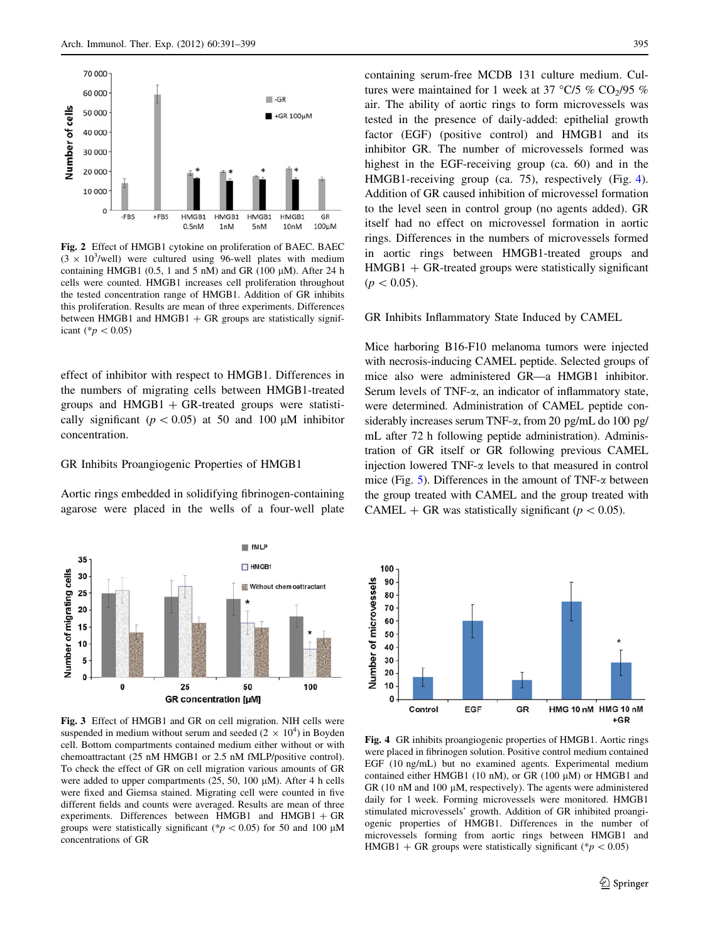<span id="page-4-0"></span>

Fig. 2 Effect of HMGB1 cytokine on proliferation of BAEC. BAEC  $(3 \times 10^3/\text{well})$  were cultured using 96-well plates with medium containing HMGB1 (0.5, 1 and 5 nM) and GR (100  $\mu$ M). After 24 h cells were counted. HMGB1 increases cell proliferation throughout the tested concentration range of HMGB1. Addition of GR inhibits this proliferation. Results are mean of three experiments. Differences between HMGB1 and HMGB1  $+$  GR groups are statistically significant (\* $p < 0.05$ )

effect of inhibitor with respect to HMGB1. Differences in the numbers of migrating cells between HMGB1-treated groups and  $HMGB1 + GR-treated$  groups were statistically significant ( $p < 0.05$ ) at 50 and 100 µM inhibitor concentration.

#### GR Inhibits Proangiogenic Properties of HMGB1

Aortic rings embedded in solidifying fibrinogen-containing agarose were placed in the wells of a four-well plate



Fig. 3 Effect of HMGB1 and GR on cell migration. NIH cells were suspended in medium without serum and seeded  $(2 \times 10^4)$  in Boyden cell. Bottom compartments contained medium either without or with chemoattractant (25 nM HMGB1 or 2.5 nM fMLP/positive control). To check the effect of GR on cell migration various amounts of GR were added to upper compartments  $(25, 50, 100 \mu M)$ . After 4 h cells were fixed and Giemsa stained. Migrating cell were counted in five different fields and counts were averaged. Results are mean of three experiments. Differences between  $HMGB1$  and  $HMGB1 + GR$ groups were statistically significant (\* $p < 0.05$ ) for 50 and 100  $\mu$ M concentrations of GR

containing serum-free MCDB 131 culture medium. Cultures were maintained for 1 week at 37 °C/5 % CO<sub>2</sub>/95 % air. The ability of aortic rings to form microvessels was tested in the presence of daily-added: epithelial growth factor (EGF) (positive control) and HMGB1 and its inhibitor GR. The number of microvessels formed was highest in the EGF-receiving group (ca. 60) and in the HMGB1-receiving group (ca. 75), respectively (Fig. 4). Addition of GR caused inhibition of microvessel formation to the level seen in control group (no agents added). GR itself had no effect on microvessel formation in aortic rings. Differences in the numbers of microvessels formed in aortic rings between HMGB1-treated groups and  $HMGB1 + GR-treated$  groups were statistically significant  $(p<0.05)$ .

GR Inhibits Inflammatory State Induced by CAMEL

Mice harboring B16-F10 melanoma tumors were injected with necrosis-inducing CAMEL peptide. Selected groups of mice also were administered GR—a HMGB1 inhibitor. Serum levels of TNF- $\alpha$ , an indicator of inflammatory state, were determined. Administration of CAMEL peptide considerably increases serum TNF-a, from 20 pg/mL do 100 pg/ mL after 72 h following peptide administration). Administration of GR itself or GR following previous CAMEL injection lowered TNF- $\alpha$  levels to that measured in control mice (Fig. [5](#page-5-0)). Differences in the amount of TNF- $\alpha$  between the group treated with CAMEL and the group treated with CAMEL + GR was statistically significant ( $p < 0.05$ ).



Fig. 4 GR inhibits proangiogenic properties of HMGB1. Aortic rings were placed in fibrinogen solution. Positive control medium contained EGF (10 ng/mL) but no examined agents. Experimental medium contained either HMGB1 (10 nM), or GR (100  $\mu$ M) or HMGB1 and GR (10 nM and 100  $\mu$ M, respectively). The agents were administered daily for 1 week. Forming microvessels were monitored. HMGB1 stimulated microvessels' growth. Addition of GR inhibited proangiogenic properties of HMGB1. Differences in the number of microvessels forming from aortic rings between HMGB1 and HMGB1 + GR groups were statistically significant (\* $p < 0.05$ )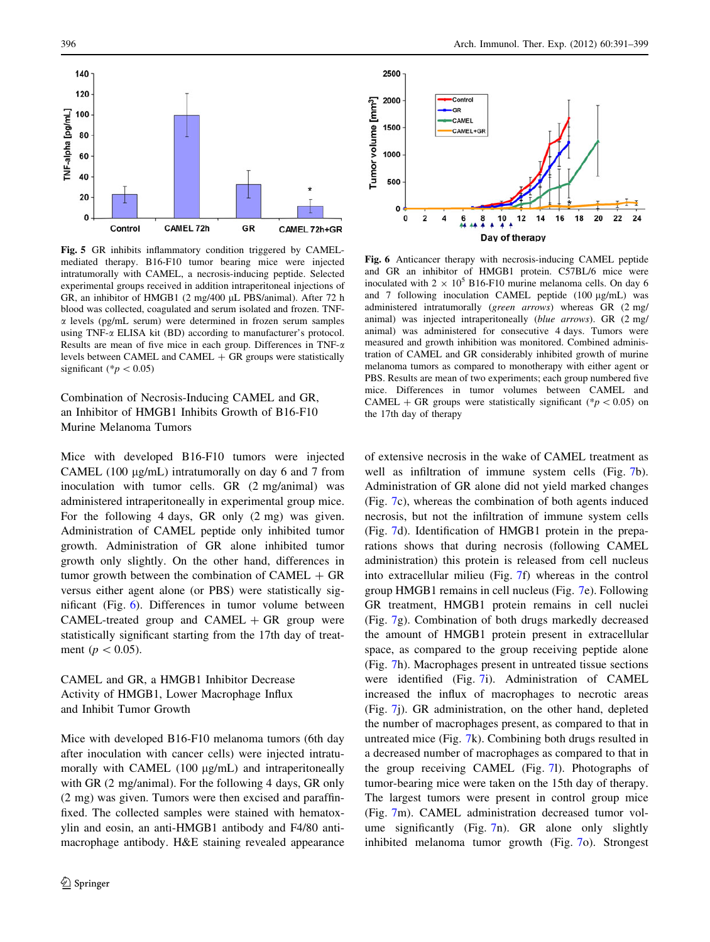<span id="page-5-0"></span>

Fig. 5 GR inhibits inflammatory condition triggered by CAMELmediated therapy. B16-F10 tumor bearing mice were injected intratumorally with CAMEL, a necrosis-inducing peptide. Selected experimental groups received in addition intraperitoneal injections of GR, an inhibitor of HMGB1 (2 mg/400 µL PBS/animal). After 72 h blood was collected, coagulated and serum isolated and frozen. TNF- $\alpha$  levels (pg/mL serum) were determined in frozen serum samples using TNF-a ELISA kit (BD) according to manufacturer's protocol. Results are mean of five mice in each group. Differences in TNF- $\alpha$ levels between CAMEL and CAMEL  $+$  GR groups were statistically significant (\* $p < 0.05$ )

Combination of Necrosis-Inducing CAMEL and GR, an Inhibitor of HMGB1 Inhibits Growth of B16-F10 Murine Melanoma Tumors

Mice with developed B16-F10 tumors were injected CAMEL (100 µg/mL) intratumorally on day 6 and 7 from inoculation with tumor cells. GR (2 mg/animal) was administered intraperitoneally in experimental group mice. For the following 4 days, GR only (2 mg) was given. Administration of CAMEL peptide only inhibited tumor growth. Administration of GR alone inhibited tumor growth only slightly. On the other hand, differences in tumor growth between the combination of  $CAMEL + GR$ versus either agent alone (or PBS) were statistically significant (Fig. 6). Differences in tumor volume between CAMEL-treated group and  $CAMEL + GR$  group were statistically significant starting from the 17th day of treatment ( $p < 0.05$ ).

CAMEL and GR, a HMGB1 Inhibitor Decrease Activity of HMGB1, Lower Macrophage Influx and Inhibit Tumor Growth

Mice with developed B16-F10 melanoma tumors (6th day after inoculation with cancer cells) were injected intratumorally with CAMEL  $(100 \mu g/mL)$  and intraperitoneally with GR (2 mg/animal). For the following 4 days, GR only (2 mg) was given. Tumors were then excised and paraffinfixed. The collected samples were stained with hematoxylin and eosin, an anti-HMGB1 antibody and F4/80 antimacrophage antibody. H&E staining revealed appearance



Fig. 6 Anticancer therapy with necrosis-inducing CAMEL peptide and GR an inhibitor of HMGB1 protein. C57BL/6 mice were inoculated with  $2 \times 10^5$  B16-F10 murine melanoma cells. On day 6 and  $7$  following inoculation CAMEL peptide (100  $\mu$ g/mL) was administered intratumorally (green arrows) whereas GR (2 mg/ animal) was injected intraperitoneally (blue arrows). GR (2 mg/ animal) was administered for consecutive 4 days. Tumors were measured and growth inhibition was monitored. Combined administration of CAMEL and GR considerably inhibited growth of murine melanoma tumors as compared to monotherapy with either agent or PBS. Results are mean of two experiments; each group numbered five mice. Differences in tumor volumes between CAMEL and CAMEL + GR groups were statistically significant (\* $p < 0.05$ ) on the 17th day of therapy

of extensive necrosis in the wake of CAMEL treatment as well as infiltration of immune system cells (Fig. [7](#page-6-0)b). Administration of GR alone did not yield marked changes (Fig. [7c](#page-6-0)), whereas the combination of both agents induced necrosis, but not the infiltration of immune system cells (Fig. [7d](#page-6-0)). Identification of HMGB1 protein in the preparations shows that during necrosis (following CAMEL administration) this protein is released from cell nucleus into extracellular milieu (Fig. [7](#page-6-0)f) whereas in the control group HMGB1 remains in cell nucleus (Fig. [7e](#page-6-0)). Following GR treatment, HMGB1 protein remains in cell nuclei (Fig. [7g](#page-6-0)). Combination of both drugs markedly decreased the amount of HMGB1 protein present in extracellular space, as compared to the group receiving peptide alone (Fig. [7h](#page-6-0)). Macrophages present in untreated tissue sections were identified (Fig. [7](#page-6-0)i). Administration of CAMEL increased the influx of macrophages to necrotic areas (Fig. [7j](#page-6-0)). GR administration, on the other hand, depleted the number of macrophages present, as compared to that in untreated mice (Fig. [7k](#page-6-0)). Combining both drugs resulted in a decreased number of macrophages as compared to that in the group receiving CAMEL (Fig. [7](#page-6-0)l). Photographs of tumor-bearing mice were taken on the 15th day of therapy. The largest tumors were present in control group mice (Fig. [7m](#page-6-0)). CAMEL administration decreased tumor volume significantly (Fig. [7n](#page-6-0)). GR alone only slightly inhibited melanoma tumor growth (Fig. [7](#page-6-0)o). Strongest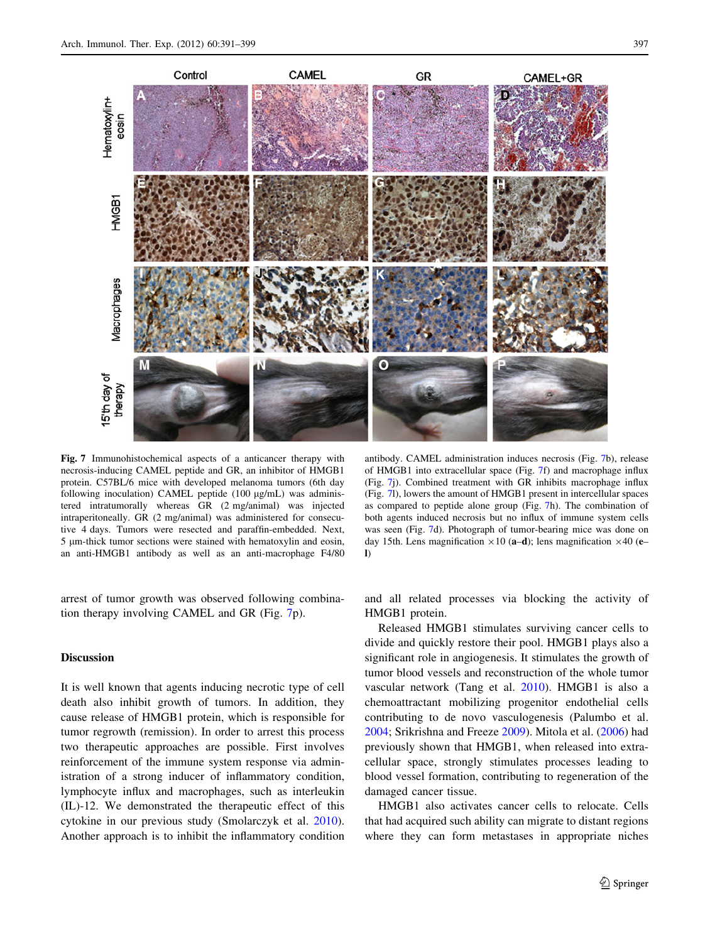<span id="page-6-0"></span>

Fig. 7 Immunohistochemical aspects of a anticancer therapy with necrosis-inducing CAMEL peptide and GR, an inhibitor of HMGB1 protein. C57BL/6 mice with developed melanoma tumors (6th day following inoculation) CAMEL peptide (100 µg/mL) was administered intratumorally whereas GR (2 mg/animal) was injected intraperitoneally. GR (2 mg/animal) was administered for consecutive 4 days. Tumors were resected and paraffin-embedded. Next, 5 lm-thick tumor sections were stained with hematoxylin and eosin, an anti-HMGB1 antibody as well as an anti-macrophage F4/80

arrest of tumor growth was observed following combination therapy involving CAMEL and GR (Fig. 7p).

# Discussion

It is well known that agents inducing necrotic type of cell death also inhibit growth of tumors. In addition, they cause release of HMGB1 protein, which is responsible for tumor regrowth (remission). In order to arrest this process two therapeutic approaches are possible. First involves reinforcement of the immune system response via administration of a strong inducer of inflammatory condition, lymphocyte influx and macrophages, such as interleukin (IL)-12. We demonstrated the therapeutic effect of this cytokine in our previous study (Smolarczyk et al. [2010](#page-8-0)). Another approach is to inhibit the inflammatory condition

antibody. CAMEL administration induces necrosis (Fig. 7b), release of HMGB1 into extracellular space (Fig. 7f) and macrophage influx (Fig. 7j). Combined treatment with GR inhibits macrophage influx (Fig. 7l), lowers the amount of HMGB1 present in intercellular spaces as compared to peptide alone group (Fig. 7h). The combination of both agents induced necrosis but no influx of immune system cells was seen (Fig. 7d). Photograph of tumor-bearing mice was done on day 15th. Lens magnification  $\times$  10 (a–d); lens magnification  $\times$  40 (e– l)

and all related processes via blocking the activity of HMGB1 protein.

Released HMGB1 stimulates surviving cancer cells to divide and quickly restore their pool. HMGB1 plays also a significant role in angiogenesis. It stimulates the growth of tumor blood vessels and reconstruction of the whole tumor vascular network (Tang et al. [2010](#page-8-0)). HMGB1 is also a chemoattractant mobilizing progenitor endothelial cells contributing to de novo vasculogenesis (Palumbo et al. [2004](#page-8-0); Srikrishna and Freeze [2009](#page-8-0)). Mitola et al. [\(2006\)](#page-8-0) had previously shown that HMGB1, when released into extracellular space, strongly stimulates processes leading to blood vessel formation, contributing to regeneration of the damaged cancer tissue.

HMGB1 also activates cancer cells to relocate. Cells that had acquired such ability can migrate to distant regions where they can form metastases in appropriate niches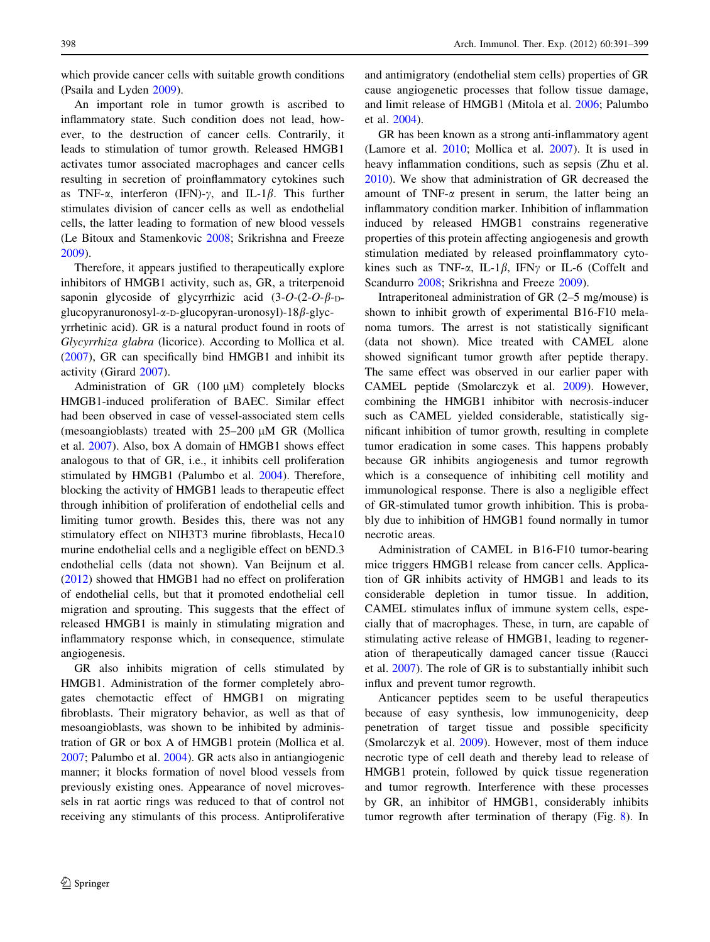which provide cancer cells with suitable growth conditions (Psaila and Lyden [2009](#page-8-0)).

An important role in tumor growth is ascribed to inflammatory state. Such condition does not lead, however, to the destruction of cancer cells. Contrarily, it leads to stimulation of tumor growth. Released HMGB1 activates tumor associated macrophages and cancer cells resulting in secretion of proinflammatory cytokines such as TNF- $\alpha$ , interferon (IFN)- $\gamma$ , and IL-1 $\beta$ . This further stimulates division of cancer cells as well as endothelial cells, the latter leading to formation of new blood vessels (Le Bitoux and Stamenkovic [2008](#page-8-0); Srikrishna and Freeze [2009\)](#page-8-0).

Therefore, it appears justified to therapeutically explore inhibitors of HMGB1 activity, such as, GR, a triterpenoid saponin glycoside of glycyrrhizic acid  $(3-O-(2-O-\beta-D-1))$ glucopyranuronosyl- $\alpha$ -D-glucopyran-uronosyl)-18 $\beta$ -glycyrrhetinic acid). GR is a natural product found in roots of Glycyrrhiza glabra (licorice). According to Mollica et al. [\(2007](#page-8-0)), GR can specifically bind HMGB1 and inhibit its activity (Girard [2007](#page-8-0)).

Administration of GR  $(100 \mu M)$  completely blocks HMGB1-induced proliferation of BAEC. Similar effect had been observed in case of vessel-associated stem cells (mesoangioblasts) treated with  $25-200 \mu M$  GR (Mollica et al. [2007](#page-8-0)). Also, box A domain of HMGB1 shows effect analogous to that of GR, i.e., it inhibits cell proliferation stimulated by HMGB1 (Palumbo et al. [2004](#page-8-0)). Therefore, blocking the activity of HMGB1 leads to therapeutic effect through inhibition of proliferation of endothelial cells and limiting tumor growth. Besides this, there was not any stimulatory effect on NIH3T3 murine fibroblasts, Heca10 murine endothelial cells and a negligible effect on bEND.3 endothelial cells (data not shown). Van Beijnum et al. [\(2012](#page-8-0)) showed that HMGB1 had no effect on proliferation of endothelial cells, but that it promoted endothelial cell migration and sprouting. This suggests that the effect of released HMGB1 is mainly in stimulating migration and inflammatory response which, in consequence, stimulate angiogenesis.

GR also inhibits migration of cells stimulated by HMGB1. Administration of the former completely abrogates chemotactic effect of HMGB1 on migrating fibroblasts. Their migratory behavior, as well as that of mesoangioblasts, was shown to be inhibited by administration of GR or box A of HMGB1 protein (Mollica et al. [2007;](#page-8-0) Palumbo et al. [2004](#page-8-0)). GR acts also in antiangiogenic manner; it blocks formation of novel blood vessels from previously existing ones. Appearance of novel microvessels in rat aortic rings was reduced to that of control not receiving any stimulants of this process. Antiproliferative

and antimigratory (endothelial stem cells) properties of GR cause angiogenetic processes that follow tissue damage, and limit release of HMGB1 (Mitola et al. [2006;](#page-8-0) Palumbo et al. [2004\)](#page-8-0).

GR has been known as a strong anti-inflammatory agent (Lamore et al. [2010;](#page-8-0) Mollica et al. [2007](#page-8-0)). It is used in heavy inflammation conditions, such as sepsis (Zhu et al. [2010](#page-8-0)). We show that administration of GR decreased the amount of TNF- $\alpha$  present in serum, the latter being an inflammatory condition marker. Inhibition of inflammation induced by released HMGB1 constrains regenerative properties of this protein affecting angiogenesis and growth stimulation mediated by released proinflammatory cytokines such as TNF- $\alpha$ , IL-1 $\beta$ , IFN<sub>7</sub> or IL-6 (Coffelt and Scandurro [2008](#page-8-0); Srikrishna and Freeze [2009\)](#page-8-0).

Intraperitoneal administration of GR (2–5 mg/mouse) is shown to inhibit growth of experimental B16-F10 melanoma tumors. The arrest is not statistically significant (data not shown). Mice treated with CAMEL alone showed significant tumor growth after peptide therapy. The same effect was observed in our earlier paper with CAMEL peptide (Smolarczyk et al. [2009\)](#page-8-0). However, combining the HMGB1 inhibitor with necrosis-inducer such as CAMEL yielded considerable, statistically significant inhibition of tumor growth, resulting in complete tumor eradication in some cases. This happens probably because GR inhibits angiogenesis and tumor regrowth which is a consequence of inhibiting cell motility and immunological response. There is also a negligible effect of GR-stimulated tumor growth inhibition. This is probably due to inhibition of HMGB1 found normally in tumor necrotic areas.

Administration of CAMEL in B16-F10 tumor-bearing mice triggers HMGB1 release from cancer cells. Application of GR inhibits activity of HMGB1 and leads to its considerable depletion in tumor tissue. In addition, CAMEL stimulates influx of immune system cells, especially that of macrophages. These, in turn, are capable of stimulating active release of HMGB1, leading to regeneration of therapeutically damaged cancer tissue (Raucci et al. [2007](#page-8-0)). The role of GR is to substantially inhibit such influx and prevent tumor regrowth.

Anticancer peptides seem to be useful therapeutics because of easy synthesis, low immunogenicity, deep penetration of target tissue and possible specificity (Smolarczyk et al. [2009\)](#page-8-0). However, most of them induce necrotic type of cell death and thereby lead to release of HMGB1 protein, followed by quick tissue regeneration and tumor regrowth. Interference with these processes by GR, an inhibitor of HMGB1, considerably inhibits tumor regrowth after termination of therapy (Fig. [8](#page-8-0)). In